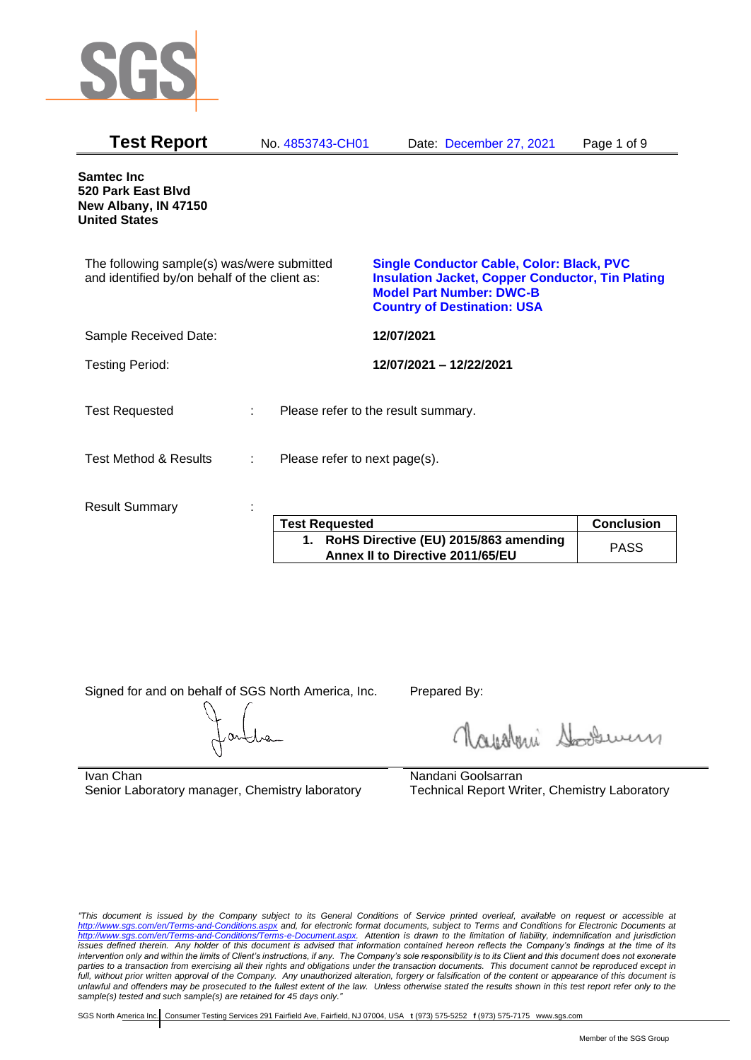

| <b>Test Report</b>                                                                          | No. 4853743-CH01              | Date: December 27, 2021                                                                                                                                                              | Page 1 of 9 |
|---------------------------------------------------------------------------------------------|-------------------------------|--------------------------------------------------------------------------------------------------------------------------------------------------------------------------------------|-------------|
| <b>Samtec Inc</b><br>520 Park East Blvd<br>New Albany, IN 47150<br><b>United States</b>     |                               |                                                                                                                                                                                      |             |
| The following sample(s) was/were submitted<br>and identified by/on behalf of the client as: |                               | <b>Single Conductor Cable, Color: Black, PVC</b><br><b>Insulation Jacket, Copper Conductor, Tin Plating</b><br><b>Model Part Number: DWC-B</b><br><b>Country of Destination: USA</b> |             |
| Sample Received Date:                                                                       |                               | 12/07/2021                                                                                                                                                                           |             |
| <b>Testing Period:</b>                                                                      |                               | 12/07/2021 - 12/22/2021                                                                                                                                                              |             |
| <b>Test Requested</b>                                                                       | ÷.                            | Please refer to the result summary.                                                                                                                                                  |             |
| <b>Test Method &amp; Results</b>                                                            | Please refer to next page(s). |                                                                                                                                                                                      |             |
| <b>Result Summary</b>                                                                       |                               |                                                                                                                                                                                      |             |

| <b>Test Requested</b>                                                        | <b>Conclusion</b> |
|------------------------------------------------------------------------------|-------------------|
| 1. RoHS Directive (EU) 2015/863 amending<br>Annex II to Directive 2011/65/EU | <b>PASS</b>       |

Signed for and on behalf of SGS North America, Inc. Prepared By:

Nightani Soodwer

Ivan Chan Senior Laboratory manager, Chemistry laboratory Nandani Goolsarran Technical Report Writer, Chemistry Laboratory

*"This document is issued by the Company subject to its General Conditions of Service printed overleaf, available on request or accessible at <http://www.sgs.com/en/Terms-and-Conditions.aspx> and, for electronic format documents, subject to Terms and Conditions for Electronic Documents at [http://www.sgs.com/en/Terms-and-Conditions/Terms-e-Document.aspx.](http://www.sgs.com/en/Terms-and-Conditions/Terms-e-Document.aspx) Attention is drawn to the limitation of liability, indemnification and jurisdiction issues defined therein. Any holder of this document is advised that information contained hereon reflects the Company's findings at the time of its intervention only and within the limits of Client's instructions, if any. The Company's sole responsibility is to its Client and this document does not exonerate parties to a transaction from exercising all their rights and obligations under the transaction documents. This document cannot be reproduced except in full, without prior written approval of the Company. Any unauthorized alteration, forgery or falsification of the content or appearance of this document is unlawful and offenders may be prosecuted to the fullest extent of the law. Unless otherwise stated the results shown in this test report refer only to the sample(s) tested and such sample(s) are retained for 45 days only."*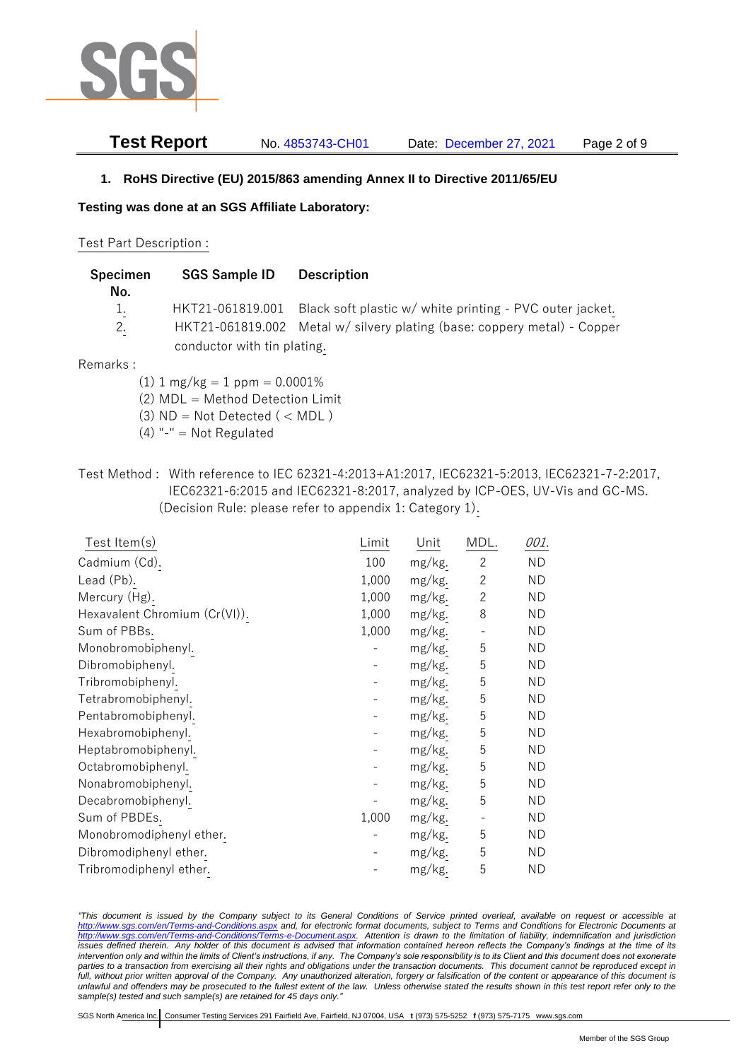

**Test Report** No. 4853743-CH01 Date: December 27, 2021 Page 2 of 9

### **1. RoHS Directive (EU) 2015/863 amending Annex II to Directive 2011/65/EU**

**Testing was done at an SGS Affiliate Laboratory:**

#### Test Part Description :

| Specimen<br>No. | <b>SGS Sample ID</b>        | <b>Description</b>                                                       |
|-----------------|-----------------------------|--------------------------------------------------------------------------|
| $1_{\cdot}$     | HKT21-061819.001            | Black soft plastic w/ white printing - PVC outer jacket.                 |
| 2.              | conductor with tin plating. | HKT21-061819.002 Metal w/ silvery plating (base: coppery metal) - Copper |
|                 |                             |                                                                          |

#### Remarks :

- $(1)$  1 mg/kg = 1 ppm = 0.0001%
- (2) MDL = Method Detection Limit
- $(3)$  ND = Not Detected  $($  < MDL)
- $(4)$  "-" = Not Regulated
- Test Method : With reference to IEC 62321-4:2013+A1:2017, IEC62321-5:2013, IEC62321-7-2:2017, IEC62321-6:2015 and IEC62321-8:2017, analyzed by ICP-OES, UV-Vis and GC-MS. (Decision Rule: please refer to appendix 1: Category 1).

| Test Item $(s)$               | Limit | Unit   | MDL.           | 001.      |
|-------------------------------|-------|--------|----------------|-----------|
| Cadmium (Cd).                 | 100   | mg/kg. | $\overline{c}$ | <b>ND</b> |
| Lead (Pb).                    | 1,000 | mg/kg. | $\overline{2}$ | <b>ND</b> |
| Mercury (Hg).                 | 1,000 | mg/kg. | $\overline{c}$ | <b>ND</b> |
| Hexavalent Chromium (Cr(VI)). | 1,000 | mg/kg. | 8              | ND.       |
| Sum of PBBs.                  | 1,000 | mg/kg. |                | ND.       |
| Monobromobiphenyl.            |       | mg/kg. | 5              | ND        |
| Dibromobiphenyl.              |       | mg/kg. | 5              | <b>ND</b> |
| Tribromobiphenyl.             |       | mg/kg. | 5              | ND        |
| Tetrabromobiphenyl.           |       | mg/kg. | 5              | <b>ND</b> |
| Pentabromobiphenyl.           |       | mg/kg. | 5              | ND        |
| Hexabromobiphenyl.            |       | mg/kg. | 5              | ND.       |
| Heptabromobiphenyl.           |       | mg/kg. | 5              | ND        |
| Octabromobiphenyl.            |       | mg/kg. | 5              | ND        |
| Nonabromobiphenyl.            |       | mg/kg. | 5              | ND        |
| Decabromobiphenyl.            |       | mg/kg. | 5              | <b>ND</b> |
| Sum of PBDEs.                 | 1,000 | mg/kg. |                | ND        |
| Monobromodiphenyl ether.      |       | mg/kg. | 5              | ND        |
| Dibromodiphenyl ether.        |       | mg/kg. | 5              | ND        |
| Tribromodiphenyl ether.       |       | mg/kg. | 5              | ND        |

*"This document is issued by the Company subject to its General Conditions of Service printed overleaf, available on request or accessible at <http://www.sgs.com/en/Terms-and-Conditions.aspx> and, for electronic format documents, subject to Terms and Conditions for Electronic Documents at [http://www.sgs.com/en/Terms-and-Conditions/Terms-e-Document.aspx.](http://www.sgs.com/en/Terms-and-Conditions/Terms-e-Document.aspx) Attention is drawn to the limitation of liability, indemnification and jurisdiction issues defined therein. Any holder of this document is advised that information contained hereon reflects the Company's findings at the time of its intervention only and within the limits of Client's instructions, if any. The Company's sole responsibility is to its Client and this document does not exonerate parties to a transaction from exercising all their rights and obligations under the transaction documents. This document cannot be reproduced except in full, without prior written approval of the Company. Any unauthorized alteration, forgery or falsification of the content or appearance of this document is unlawful and offenders may be prosecuted to the fullest extent of the law. Unless otherwise stated the results shown in this test report refer only to the sample(s) tested and such sample(s) are retained for 45 days only."*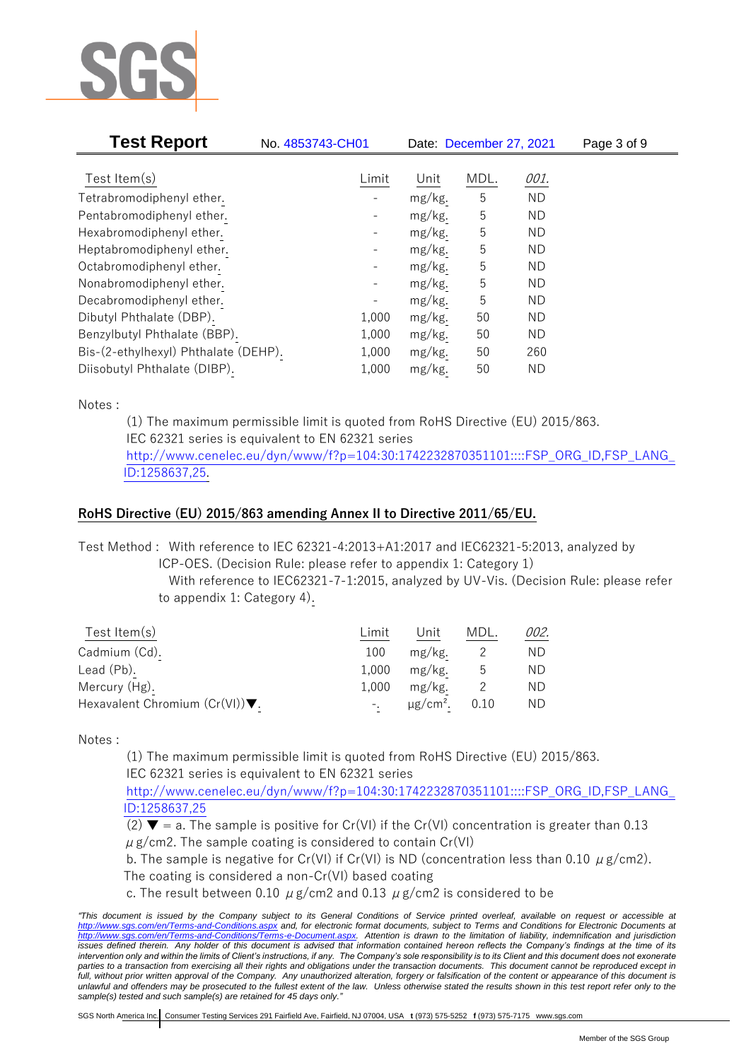

| <b>Test Report</b>                   | No. 4853743-CH01         |        | Date: December 27, 2021 |           | Page 3 of 9 |
|--------------------------------------|--------------------------|--------|-------------------------|-----------|-------------|
| Test Item $(s)$                      | Limit                    | Unit   | MDL.                    | 001.      |             |
|                                      |                          |        |                         |           |             |
| Tetrabromodiphenyl ether.            |                          | mg/kg. | 5                       | <b>ND</b> |             |
| Pentabromodiphenyl ether.            | -                        | mg/kg. | 5                       | ND.       |             |
| Hexabromodiphenyl ether.             | $\overline{\phantom{a}}$ | mg/kg. | 5                       | ND.       |             |
| Heptabromodiphenyl ether.            |                          | mg/kg. | 5                       | ND.       |             |
| Octabromodiphenyl ether.             |                          | mg/kg. | 5                       | ND.       |             |
| Nonabromodiphenyl ether.             |                          | mg/kg. | 5                       | ND.       |             |
| Decabromodiphenyl ether.             |                          | mg/kg. | 5                       | ND.       |             |
| Dibutyl Phthalate (DBP).             | 1,000                    | mg/kg. | 50                      | ND.       |             |
| Benzylbutyl Phthalate (BBP).         | 1,000                    | mg/kg. | 50                      | ND.       |             |
| Bis-(2-ethylhexyl) Phthalate (DEHP). | 1,000                    | mg/kg. | 50                      | 260       |             |
| Diisobutyl Phthalate (DIBP).         | 1,000                    | mg/kg. | 50                      | ND.       |             |

Notes :

(1) The maximum permissible limit is quoted from RoHS Directive (EU) 2015/863. IEC 62321 series is equivalent to EN 62321 series [http://www.cenelec.eu/dyn/www/f?p=104:30:1742232870351101::::FSP\\_ORG\\_ID,FSP\\_LANG\\_](http://www.cenelec.eu/dyn/www/f?p=104:30:1742232870351101::::FSP_ORG_ID,FSP_LANG_ID:1258637,25) [ID:1258637,25.](http://www.cenelec.eu/dyn/www/f?p=104:30:1742232870351101::::FSP_ORG_ID,FSP_LANG_ID:1258637,25)

## **RoHS Directive (EU) 2015/863 amending Annex II to Directive 2011/65/EU.**

Test Method : With reference to IEC 62321-4:2013+A1:2017 and IEC62321-5:2013, analyzed by

ICP-OES. (Decision Rule: please refer to appendix 1: Category 1)

With reference to IEC62321-7-1:2015, analyzed by UV-Vis. (Decision Rule: please refer to appendix 1: Category 4).

| Test Item $(s)$                                    | Limit | Unit                      | MDL. | 002. |
|----------------------------------------------------|-------|---------------------------|------|------|
| Cadmium (Cd).                                      | 100   | mg/kg.                    |      | ND.  |
| Lead (Pb).                                         | 1.000 | mg/kg.                    | უ    | ND.  |
| Mercury (Hg).                                      | 1,000 | mg/kg.                    |      | ND.  |
| Hexavalent Chromium $(Cr(VI))\blacktriangledown$ . |       | $\mu$ g/cm <sup>2</sup> . | 0.10 | ND.  |

Notes :

(1) The maximum permissible limit is quoted from RoHS Directive (EU) 2015/863. IEC 62321 series is equivalent to EN 62321 series

[http://www.cenelec.eu/dyn/www/f?p=104:30:1742232870351101::::FSP\\_ORG\\_ID,FSP\\_LANG\\_](http://www.cenelec.eu/dyn/www/f?p=104:30:1742232870351101::::FSP_ORG_ID,FSP_LANG_ID:1258637,25) [ID:1258637,25](http://www.cenelec.eu/dyn/www/f?p=104:30:1742232870351101::::FSP_ORG_ID,FSP_LANG_ID:1258637,25)

- (2)  $\blacktriangledown$  = a. The sample is positive for Cr(VI) if the Cr(VI) concentration is greater than 0.13  $\mu$  g/cm2. The sample coating is considered to contain Cr(VI)
- b. The sample is negative for Cr(VI) if Cr(VI) is ND (concentration less than 0.10  $\mu$  g/cm2).

The coating is considered a non-Cr(VI) based coating

c. The result between 0.10  $\mu$  g/cm2 and 0.13  $\mu$  g/cm2 is considered to be

*<sup>&</sup>quot;This document is issued by the Company subject to its General Conditions of Service printed overleaf, available on request or accessible at <http://www.sgs.com/en/Terms-and-Conditions.aspx> and, for electronic format documents, subject to Terms and Conditions for Electronic Documents at [http://www.sgs.com/en/Terms-and-Conditions/Terms-e-Document.aspx.](http://www.sgs.com/en/Terms-and-Conditions/Terms-e-Document.aspx) Attention is drawn to the limitation of liability, indemnification and jurisdiction issues defined therein. Any holder of this document is advised that information contained hereon reflects the Company's findings at the time of its intervention only and within the limits of Client's instructions, if any. The Company's sole responsibility is to its Client and this document does not exonerate*  parties to a transaction from exercising all their rights and obligations under the transaction documents. This document cannot be reproduced except in *full, without prior written approval of the Company. Any unauthorized alteration, forgery or falsification of the content or appearance of this document is unlawful and offenders may be prosecuted to the fullest extent of the law. Unless otherwise stated the results shown in this test report refer only to the sample(s) tested and such sample(s) are retained for 45 days only."*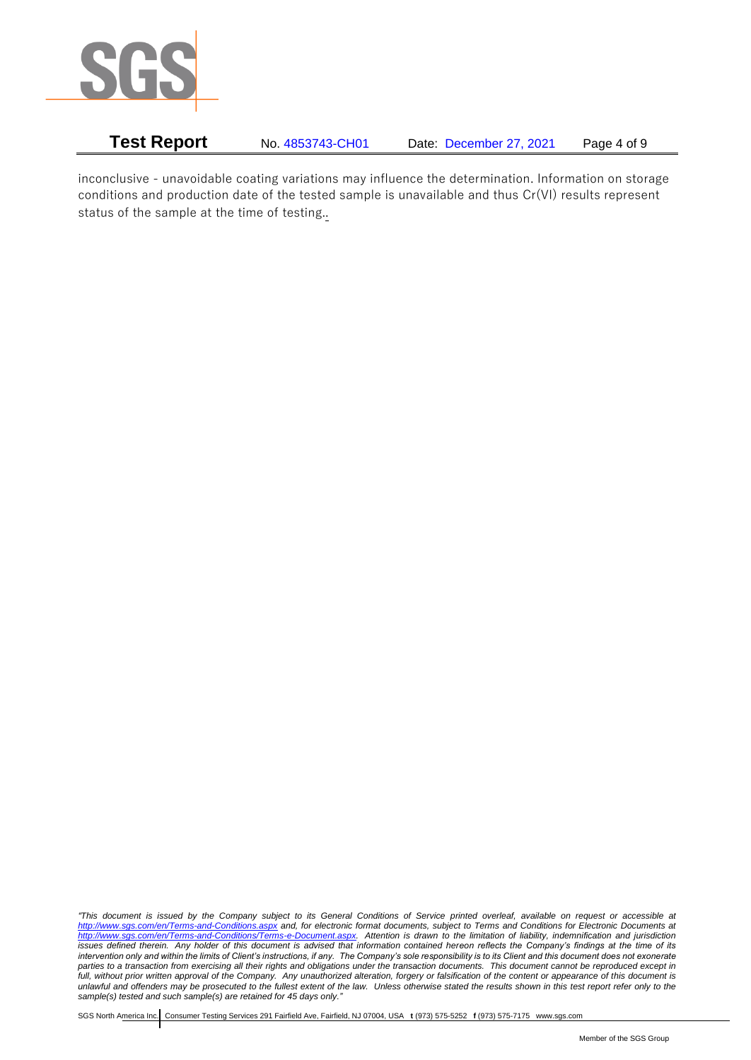

**Test Report** No. 4853743-CH01 Date: December 27, 2021 Page 4 of 9

inconclusive - unavoidable coating variations may influence the determination. Information on storage conditions and production date of the tested sample is unavailable and thus Cr(VI) results represent status of the sample at the time of testing..

*"This document is issued by the Company subject to its General Conditions of Service printed overleaf, available on request or accessible at <http://www.sgs.com/en/Terms-and-Conditions.aspx> and, for electronic format documents, subject to Terms and Conditions for Electronic Documents at [http://www.sgs.com/en/Terms-and-Conditions/Terms-e-Document.aspx.](http://www.sgs.com/en/Terms-and-Conditions/Terms-e-Document.aspx) Attention is drawn to the limitation of liability, indemnification and jurisdiction issues defined therein. Any holder of this document is advised that information contained hereon reflects the Company's findings at the time of its intervention only and within the limits of Client's instructions, if any. The Company's sole responsibility is to its Client and this document does not exonerate parties to a transaction from exercising all their rights and obligations under the transaction documents. This document cannot be reproduced except in full, without prior written approval of the Company. Any unauthorized alteration, forgery or falsification of the content or appearance of this document is unlawful and offenders may be prosecuted to the fullest extent of the law. Unless otherwise stated the results shown in this test report refer only to the sample(s) tested and such sample(s) are retained for 45 days only."*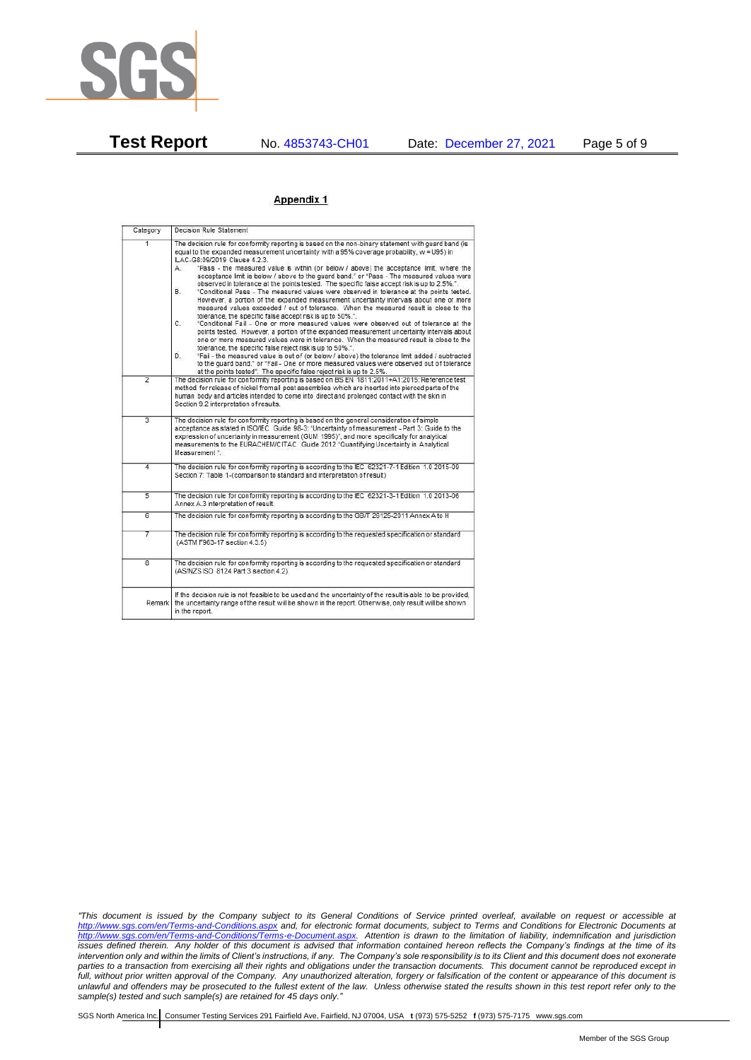

#### Appendix 1

| Category       | Decision Rule Statement                                                                                                                                                                                                                                                                                                                                                                                                                                                                                                                                                                                                                                                                                                                                                                                                                                                                                                                                                                                                                                                                                                                                                                                                                                                                                                                                                                                                                    |  |  |  |
|----------------|--------------------------------------------------------------------------------------------------------------------------------------------------------------------------------------------------------------------------------------------------------------------------------------------------------------------------------------------------------------------------------------------------------------------------------------------------------------------------------------------------------------------------------------------------------------------------------------------------------------------------------------------------------------------------------------------------------------------------------------------------------------------------------------------------------------------------------------------------------------------------------------------------------------------------------------------------------------------------------------------------------------------------------------------------------------------------------------------------------------------------------------------------------------------------------------------------------------------------------------------------------------------------------------------------------------------------------------------------------------------------------------------------------------------------------------------|--|--|--|
| $\overline{1}$ | The decision rule for conformity reporting is based on the non-binary statement with quard band (is<br>equal to the expanded measurement uncertainty with a 95% coverage probability, w = U95) in<br>ILAC-G8:09/2019 Clause 4.2.3.<br>"Pass - the measured value is within (or below / above) the acceptance limit, where the<br>А.<br>acceptance limit is below / above to the quard band," or "Pass - The measured values were<br>observed in tolerance at the points tested. The specific false accept risk is up to 2.5%.".<br>В.<br>"Conditional Pass - The measured values were observed in tolerance at the points tested.<br>However, a portion of the expanded measurement uncertainty intervals about one or more<br>measured values exceeded / out of tolerance. When the measured result is close to the<br>tolerance, the specific false accept risk is up to 50%.".<br>C.<br>"Conditional Fail - One or more measured values were observed out of tolerance at the<br>points tested. However, a portion of the expanded measurement uncertainty intervals about<br>one or more measured values were in tolerance. When the measured result is close to the<br>tolerance, the specific false reject risk is up to 50%.".<br>"Fail - the measured value is out of (or below / above) the tolerance limit added / subtracted<br>D.<br>to the quard band." or "Fail - One or more measured values were observed out of tolerance |  |  |  |
| $\overline{2}$ | at the points tested". The specific false reject risk is up to 2.5%.<br>The decision rule for conformity reporting is based on BS EN 1811:2011+A1:2015: Reference test<br>method for release of nickel from all post assemblies which are inserted into pierced parts of the<br>human body and articles intended to come into direct and prolonged contact with the skin in<br>Section 9.2 interpretation of results.                                                                                                                                                                                                                                                                                                                                                                                                                                                                                                                                                                                                                                                                                                                                                                                                                                                                                                                                                                                                                      |  |  |  |
| $\overline{3}$ | The decision rule for conformity reporting is based on the general consideration of simple<br>acceptance as stated in ISO/IEC Guide 98-3: "Uncertainty of measurement - Part 3: Guide to the<br>expression of uncertainty in measurement (GUM 1995)", and more specifically for analytical<br>measurements to the EURACHEM/CITAC Guide 2012 "Quantifying Uncertainty in Analytical<br>Measurement *                                                                                                                                                                                                                                                                                                                                                                                                                                                                                                                                                                                                                                                                                                                                                                                                                                                                                                                                                                                                                                        |  |  |  |
| 4              | The decision rule for conformity reporting is according to the IEC 62321-7-1 Edition 1.0 2015-09<br>Section 7: Table 1-(comparison to standard and interpretation of result)                                                                                                                                                                                                                                                                                                                                                                                                                                                                                                                                                                                                                                                                                                                                                                                                                                                                                                                                                                                                                                                                                                                                                                                                                                                               |  |  |  |
| 5              | The decision rule for conformity reporting is according to the IEC 62321-3-1 Edition 1.0 2013-06<br>Annex A.3 interpretation of result.                                                                                                                                                                                                                                                                                                                                                                                                                                                                                                                                                                                                                                                                                                                                                                                                                                                                                                                                                                                                                                                                                                                                                                                                                                                                                                    |  |  |  |
| 6              | The decision rule for conformity reporting is according to the GB/T 26125-2011 Annex A to H                                                                                                                                                                                                                                                                                                                                                                                                                                                                                                                                                                                                                                                                                                                                                                                                                                                                                                                                                                                                                                                                                                                                                                                                                                                                                                                                                |  |  |  |
| 7              | The decision rule for conformity reporting is according to the requested specification or standard<br>(ASTM F963-17 section 4.3.5)                                                                                                                                                                                                                                                                                                                                                                                                                                                                                                                                                                                                                                                                                                                                                                                                                                                                                                                                                                                                                                                                                                                                                                                                                                                                                                         |  |  |  |
| $\overline{8}$ | The decision rule for conformity reporting is according to the requested specification or standard<br>(AS/NZS ISO 8124 Part 3 section 4.2)                                                                                                                                                                                                                                                                                                                                                                                                                                                                                                                                                                                                                                                                                                                                                                                                                                                                                                                                                                                                                                                                                                                                                                                                                                                                                                 |  |  |  |
| Remark         | If the decision rule is not feasible to be used and the uncertainty of the result is able to be provided.<br>the uncertainty range of the result will be shown in the report. Otherwise, only result will be shown<br>in the report.                                                                                                                                                                                                                                                                                                                                                                                                                                                                                                                                                                                                                                                                                                                                                                                                                                                                                                                                                                                                                                                                                                                                                                                                       |  |  |  |

*"This document is issued by the Company subject to its General Conditions of Service printed overleaf, available on request or accessible at <http://www.sgs.com/en/Terms-and-Conditions.aspx> and, for electronic format documents, subject to Terms and Conditions for Electronic Documents at [http://www.sgs.com/en/Terms-and-Conditions/Terms-e-Document.aspx.](http://www.sgs.com/en/Terms-and-Conditions/Terms-e-Document.aspx) Attention is drawn to the limitation of liability, indemnification and jurisdiction issues defined therein. Any holder of this document is advised that information contained hereon reflects the Company's findings at the time of its intervention only and within the limits of Client's instructions, if any. The Company's sole responsibility is to its Client and this document does not exonerate parties to a transaction from exercising all their rights and obligations under the transaction documents. This document cannot be reproduced except in full, without prior written approval of the Company. Any unauthorized alteration, forgery or falsification of the content or appearance of this document is unlawful and offenders may be prosecuted to the fullest extent of the law. Unless otherwise stated the results shown in this test report refer only to the sample(s) tested and such sample(s) are retained for 45 days only."*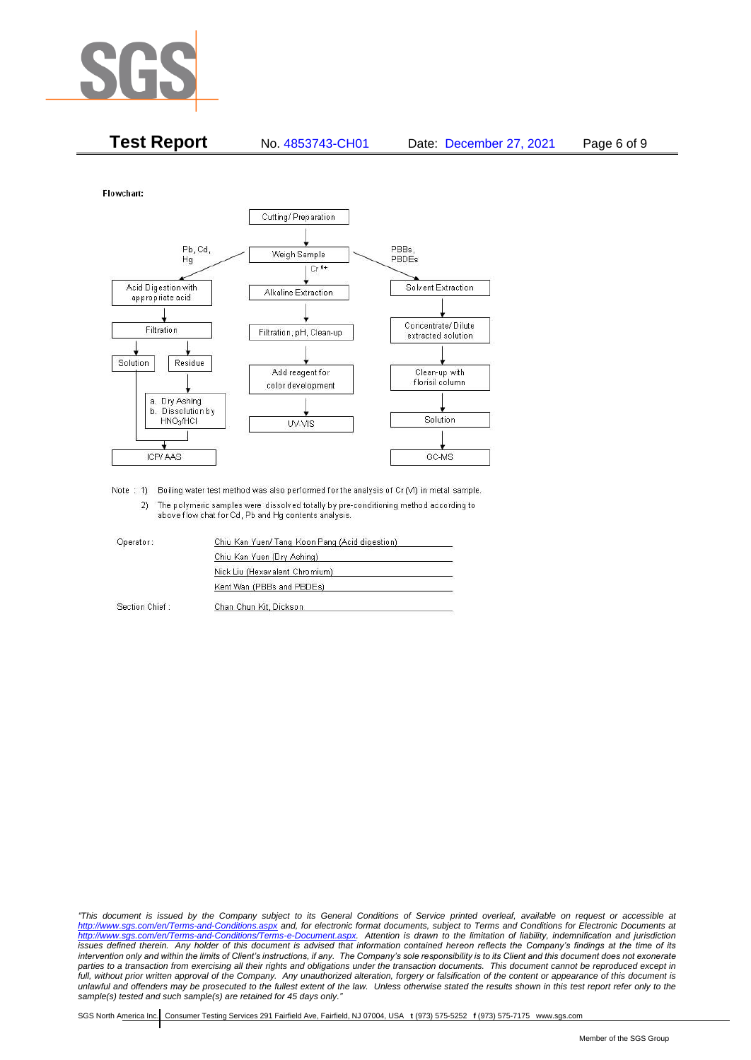

| <b>Test Report</b> | No. 4853743-CH01 | Date: December 27, 2021 | Page 6 of 9 |
|--------------------|------------------|-------------------------|-------------|
|                    |                  |                         |             |

Flowchart:



Note : 1) Boiling water test method was also performed for the analysis of Cr (VI) in metal sample. 2) The polymeric samples were dissolved totally by pre-conditioning method according to above flow chat for Cd, Pb and Hg contents analysis

| Operator:      | Chiu Kan Yuen/ Tang Koon Pang (Acid digestion) |  |
|----------------|------------------------------------------------|--|
|                | Chiu Kan Yuen (Dry Ashing)                     |  |
|                | Nick Liu (Hexavalent Chromium)                 |  |
|                | Kent Wan (PBBs and PBDEs)                      |  |
| Section Chief: | Chan Chun Kit, Dickson                         |  |

*"This document is issued by the Company subject to its General Conditions of Service printed overleaf, available on request or accessible at <http://www.sgs.com/en/Terms-and-Conditions.aspx> and, for electronic format documents, subject to Terms and Conditions for Electronic Documents at [http://www.sgs.com/en/Terms-and-Conditions/Terms-e-Document.aspx.](http://www.sgs.com/en/Terms-and-Conditions/Terms-e-Document.aspx) Attention is drawn to the limitation of liability, indemnification and jurisdiction issues defined therein. Any holder of this document is advised that information contained hereon reflects the Company's findings at the time of its intervention only and within the limits of Client's instructions, if any. The Company's sole responsibility is to its Client and this document does not exonerate*  parties to a transaction from exercising all their rights and obligations under the transaction documents. This document cannot be reproduced except in *full, without prior written approval of the Company. Any unauthorized alteration, forgery or falsification of the content or appearance of this document is unlawful and offenders may be prosecuted to the fullest extent of the law. Unless otherwise stated the results shown in this test report refer only to the sample(s) tested and such sample(s) are retained for 45 days only."*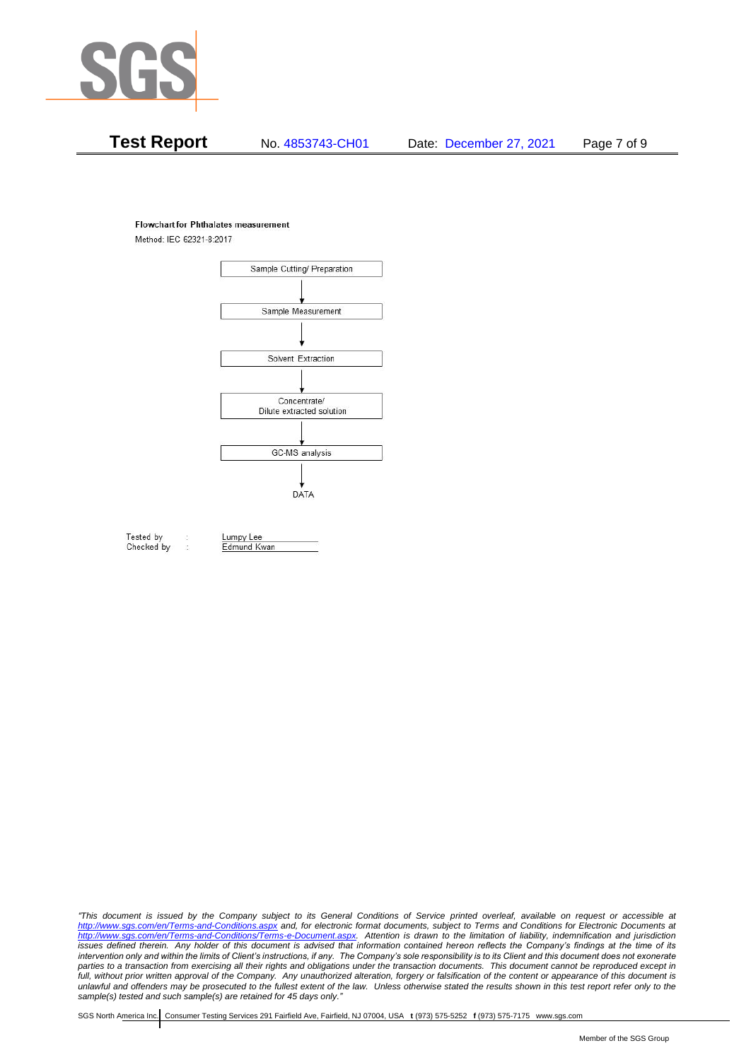

#### **Flowchart for Phthalates measurement**

Method: IEC 62321-8:2017



Tested by Checked by Lumpy Lee

Edmund Kwan

*"This document is issued by the Company subject to its General Conditions of Service printed overleaf, available on request or accessible at <http://www.sgs.com/en/Terms-and-Conditions.aspx> and, for electronic format documents, subject to Terms and Conditions for Electronic Documents at [http://www.sgs.com/en/Terms-and-Conditions/Terms-e-Document.aspx.](http://www.sgs.com/en/Terms-and-Conditions/Terms-e-Document.aspx) Attention is drawn to the limitation of liability, indemnification and jurisdiction issues defined therein. Any holder of this document is advised that information contained hereon reflects the Company's findings at the time of its intervention only and within the limits of Client's instructions, if any. The Company's sole responsibility is to its Client and this document does not exonerate*  parties to a transaction from exercising all their rights and obligations under the transaction documents. This document cannot be reproduced except in *full, without prior written approval of the Company. Any unauthorized alteration, forgery or falsification of the content or appearance of this document is unlawful and offenders may be prosecuted to the fullest extent of the law. Unless otherwise stated the results shown in this test report refer only to the sample(s) tested and such sample(s) are retained for 45 days only."*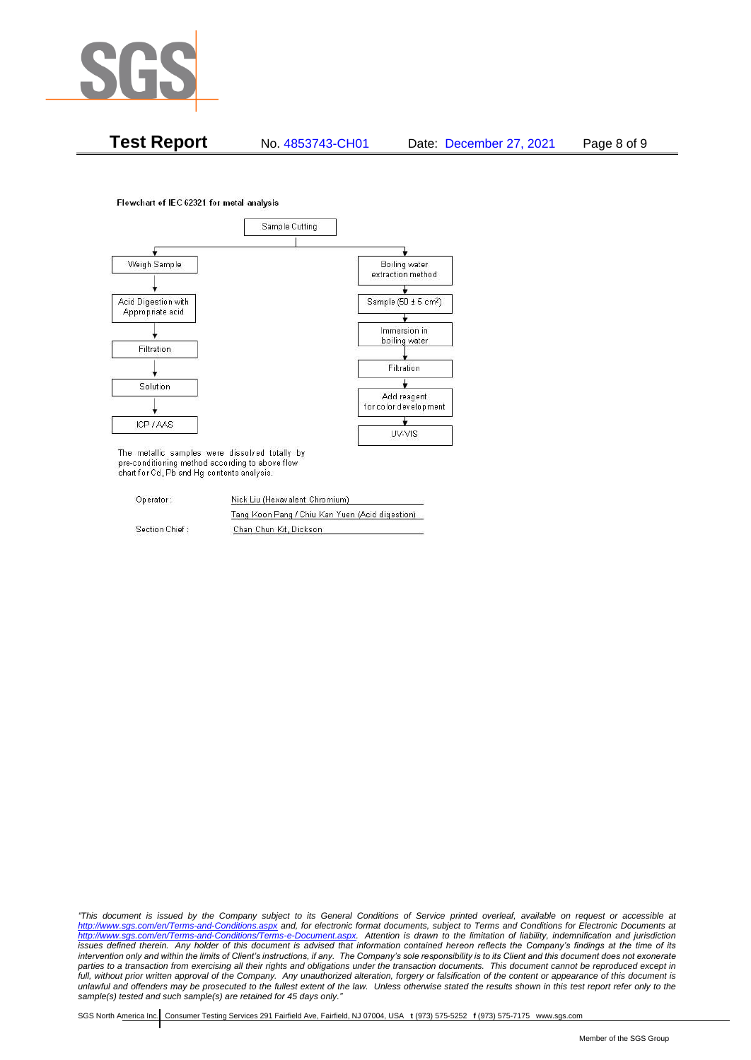

**Test Report** No. 4853743-CH01 Date: December 27, 2021 Page 8 of 9

Flowchart of IEC 62321 for metal analysis



The metallic samples were dissolved totally by pre-conditioning method according to above flow chart for Cd, Pb and Hg contents analysis.

| Operator:      | Nick Liu (Hexavalent Chromium)                  |  |  |
|----------------|-------------------------------------------------|--|--|
|                | Tang Koon Pang / Chiu Kan Yuen (Acid digestion) |  |  |
| Section Chief: | Chan Chun Kit, Dickson                          |  |  |

*"This document is issued by the Company subject to its General Conditions of Service printed overleaf, available on request or accessible at <http://www.sgs.com/en/Terms-and-Conditions.aspx> and, for electronic format documents, subject to Terms and Conditions for Electronic Documents at [http://www.sgs.com/en/Terms-and-Conditions/Terms-e-Document.aspx.](http://www.sgs.com/en/Terms-and-Conditions/Terms-e-Document.aspx) Attention is drawn to the limitation of liability, indemnification and jurisdiction issues defined therein. Any holder of this document is advised that information contained hereon reflects the Company's findings at the time of its intervention only and within the limits of Client's instructions, if any. The Company's sole responsibility is to its Client and this document does not exonerate*  parties to a transaction from exercising all their rights and obligations under the transaction documents. This document cannot be reproduced except in *full, without prior written approval of the Company. Any unauthorized alteration, forgery or falsification of the content or appearance of this document is unlawful and offenders may be prosecuted to the fullest extent of the law. Unless otherwise stated the results shown in this test report refer only to the sample(s) tested and such sample(s) are retained for 45 days only."*